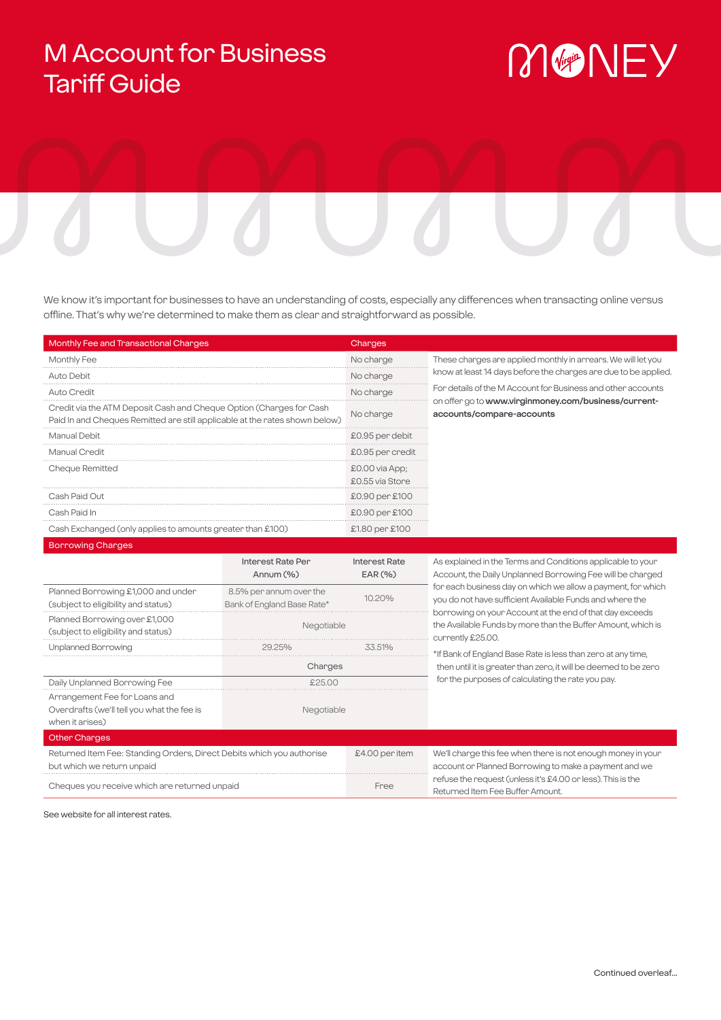## M Account for Business Tariff Guide

# MONEY

We know it's important for businesses to have an understanding of costs, especially any differences when transacting online versus offline. That's why we're determined to make them as clear and straightforward as possible.

| <b>Monthly Fee and Transactional Charges</b>                                                                                                       | Charges                             |                                                                                   |
|----------------------------------------------------------------------------------------------------------------------------------------------------|-------------------------------------|-----------------------------------------------------------------------------------|
| <b>Monthly Fee</b>                                                                                                                                 | No charge                           | These changes are applied monthly in arrears. We will let you                     |
| Auto Debit                                                                                                                                         | No charge                           | know at least 14 days before the charges are due to be applied.                   |
| Auto Credit                                                                                                                                        | No charge                           | For details of the M Account for Business and other accounts                      |
| Credit via the ATM Deposit Cash and Cheque Option (Charges for Cash<br>Paid In and Cheques Remitted are still applicable at the rates shown below) | No charge                           | on offer go to www.virginmoney.com/business/current-<br>accounts/compare-accounts |
| Manual Debit                                                                                                                                       | £0.95 per debit                     |                                                                                   |
| Manual Credit                                                                                                                                      | £0.95 per credit                    |                                                                                   |
| Cheque Remitted                                                                                                                                    | $£0.00$ via App;<br>£0.55 via Store |                                                                                   |
| Cash Paid Out                                                                                                                                      | £0.90 per £100                      |                                                                                   |
| Cash Paid In                                                                                                                                       | £0.90 per £100                      |                                                                                   |
| Cash Exchanged (only applies to amounts greater than £100)                                                                                         | £1.80 per £100                      |                                                                                   |

|                                                                                                     | Interest Rate Per<br>Annum $(\%)$                     | <b>Interest Rate</b><br>EAR(%) | As explained in the Terms and Conditions applicable to your<br>Account, the Daily Unplanned Borrowing Fee will be charged                     |
|-----------------------------------------------------------------------------------------------------|-------------------------------------------------------|--------------------------------|-----------------------------------------------------------------------------------------------------------------------------------------------|
| Planned Borrowing £1,000 and under<br>(subject to eligibility and status)                           | 8.5% per annum over the<br>Bank of England Base Rate* | 10.20%                         | for each business day on which we allow a payment, for which<br>you do not have sufficient Available Funds and where the                      |
| Planned Borrowing over £1,000<br>(subject to eligibility and status)                                | Negotiable                                            |                                | borrowing on your Account at the end of that day exceeds<br>the Available Funds by more than the Buffer Amount, which is<br>currently £25.00. |
| <b>Unplanned Borrowing</b>                                                                          | 29.25%                                                | 33.51%                         | *If Bank of England Base Rate is less than zero at any time,                                                                                  |
|                                                                                                     | Charges                                               |                                | then until it is greater than zero, it will be deemed to be zero<br>for the purposes of calculating the rate you pay.                         |
| Daily Unplanned Borrowing Fee                                                                       | \$2500                                                |                                |                                                                                                                                               |
| Arrangement Fee for Loans and<br>Overdrafts (we'll tell you what the fee is<br>when it arises)      | Negotiable                                            |                                |                                                                                                                                               |
| <b>Other Charges</b>                                                                                |                                                       |                                |                                                                                                                                               |
| Returned Item Fee: Standing Orders, Direct Debits which you authorise<br>but which we return unpaid |                                                       | £4.00 per item                 | We'll change this fee when there is not enough money in your<br>account or Planned Borrowing to make a payment and we                         |
| Cheques you receive which are returned unpaid                                                       |                                                       | Free                           | refuse the request (unless it's £4.00 or less). This is the<br>Returned Item Fee Buffer Amount.                                               |

See website for all interest rates.

Borrowing Charges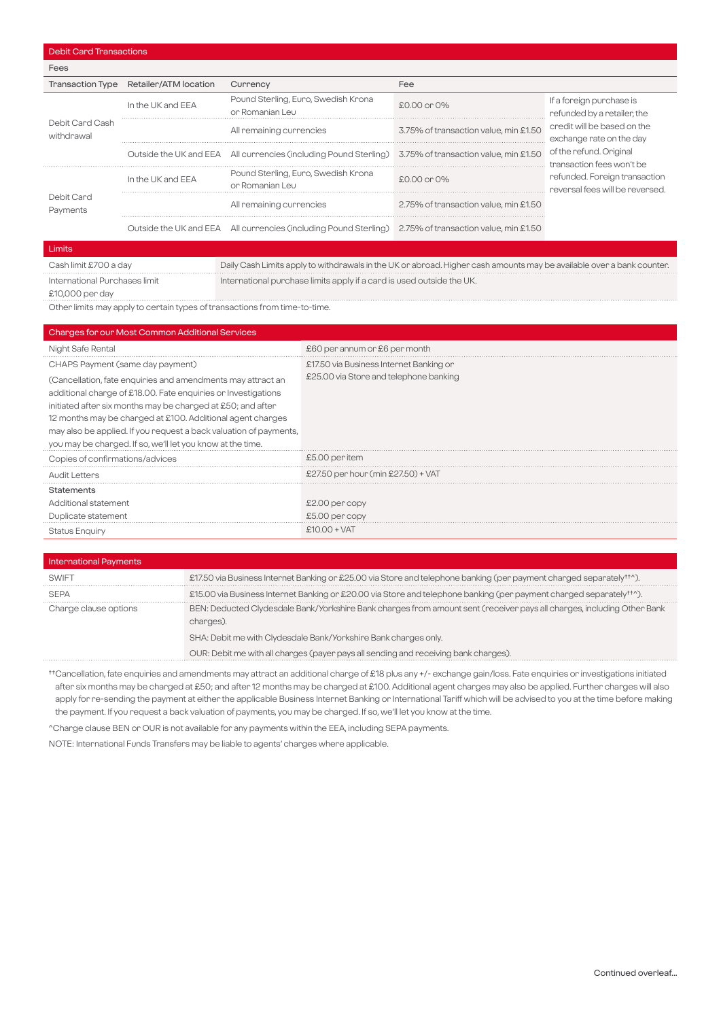| Fees                          |                                        |                                                                                                        |                                       |                                                                                                                                                                                                                                                |
|-------------------------------|----------------------------------------|--------------------------------------------------------------------------------------------------------|---------------------------------------|------------------------------------------------------------------------------------------------------------------------------------------------------------------------------------------------------------------------------------------------|
|                               | Transaction Type Retailer/ATM location | Currency                                                                                               | Fee                                   |                                                                                                                                                                                                                                                |
| Debit Card Cash<br>withdrawal | In the UK and EEA                      | Pound Sterling, Euro, Swedish Krona<br>or Romanian Leu                                                 | $£0.00$ or $0\%$                      | If a foreign purchase is<br>refunded by a retailer, the<br>credit will be based on the<br>exchange rate on the day<br>of the refund. Original<br>transaction fees won't be<br>refunded. Foreign transaction<br>reversal fees will be reversed. |
|                               |                                        | All remaining currencies                                                                               | 3.75% of transaction value, min £1.50 |                                                                                                                                                                                                                                                |
|                               |                                        | Outside the UK and EEA All currencies (including Pound Sterling) 3.75% of transaction value, min £1.50 |                                       |                                                                                                                                                                                                                                                |
| Debit Card<br>Payments        | In the UK and EEA                      | Pound Sterling, Euro, Swedish Krona<br>or Romanian Leu                                                 | $£0.00$ or $0\%$                      |                                                                                                                                                                                                                                                |
|                               |                                        | All remaining currencies                                                                               | 2.75% of transaction value, min £1.50 |                                                                                                                                                                                                                                                |
|                               |                                        | Outside the UK and EEA All currencies (including Pound Sterling) 2.75% of transaction value, min £1.50 |                                       |                                                                                                                                                                                                                                                |

#### Limits

Cash limit £700 a day Daily Cash Limits apply to withdrawals in the UK or abroad. Higher cash amounts may be available over a bank counter. International Purchases limit

International purchase limits apply if a card is used outside the UK.

£10,000 per day

Debit Card Transactions

Other limits may apply to certain types of transactions from time-to-time.

| <b>Changes for our Most Common Additional Services</b>                                                                                                                                                                                                                                                                                                                                       |                                         |
|----------------------------------------------------------------------------------------------------------------------------------------------------------------------------------------------------------------------------------------------------------------------------------------------------------------------------------------------------------------------------------------------|-----------------------------------------|
| Night Safe Rental                                                                                                                                                                                                                                                                                                                                                                            | £60 per annum or £6 per month           |
| CHAPS Payment (same day payment)                                                                                                                                                                                                                                                                                                                                                             | £17.50 via Business Internet Banking or |
| (Cancellation, fate enquiries and amendments may attract an<br>additional charge of £18.00. Fate enquiries or Investigations<br>initiated after six months may be charged at £50; and after<br>12 months may be charged at £100. Additional agent charges<br>may also be applied. If you request a back valuation of payments,<br>you may be charged. If so, we'll let you know at the time. | £25.00 via Store and telephone banking  |
| Copies of confirmations/advices                                                                                                                                                                                                                                                                                                                                                              | £5.00 per item                          |
| <b>Audit Letters</b>                                                                                                                                                                                                                                                                                                                                                                         | £27.50 per hour (min £27.50) + VAT      |
| <b>Statements</b><br>Additional statement<br>Duplicate statement                                                                                                                                                                                                                                                                                                                             | £2.00 per copy<br>£5.00 per copy        |
| <b>Status Enquiry</b>                                                                                                                                                                                                                                                                                                                                                                        | $$1000+VAT$                             |

| <b>International Payments</b> |                                                                                                                                     |
|-------------------------------|-------------------------------------------------------------------------------------------------------------------------------------|
| SWIFT                         | £17.50 via Business Internet Banking or £25.00 via Store and telephone banking (per payment charged separately <sup>++^</sup> ).    |
| <b>SEPA</b>                   | £15.00 via Business Internet Banking or £20.00 via Store and telephone banking (per payment charged separately <sup>++^</sup> ).    |
| Charge clause options         | BEN: Deducted Clydesdale Bank/Yorkshire Bank charges from amount sent (receiver pays all charges, including Other Bank<br>charges). |
|                               | SHA: Debit me with Clydesdale Bank/Yorkshire Bank charges only.                                                                     |
|                               | OUR: Debit me with all charges (payer pays all sending and receiving bank charges).                                                 |

††Cancellation, fate enquiries and amendments may attract an additional charge of £18 plus any +/- exchange gain/loss. Fate enquiries or investigations initiated after six months may be charged at £50; and after 12 months may be charged at £100. Additional agent charges may also be applied. Further charges will also apply for re-sending the payment at either the applicable Business Internet Banking or International Tariff which will be advised to you at the time before making the payment. If you request a back valuation of payments, you may be charged. If so, we'll let you know at the time.

^Charge clause BEN or OUR is not available for any payments within the EEA, including SEPA payments.

NOTE: International Funds Transfers may be liable to agents' charges where applicable.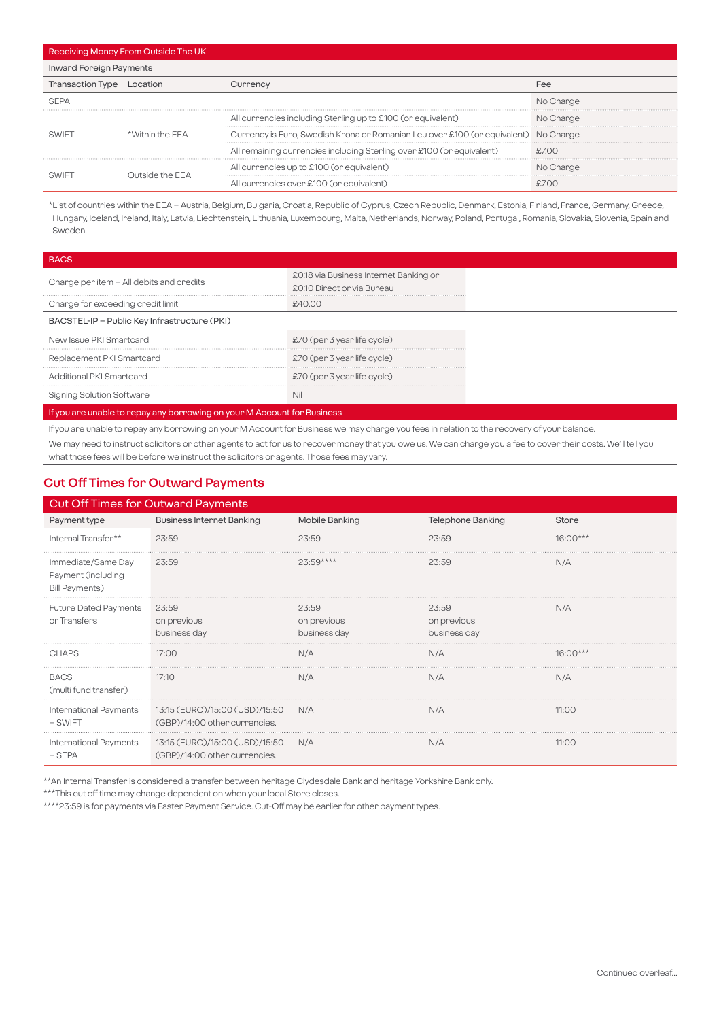| Receiving Money From Outside The UK |                   |                                                                                     |           |
|-------------------------------------|-------------------|-------------------------------------------------------------------------------------|-----------|
| <b>Inward Foreign Payments</b>      |                   |                                                                                     |           |
| Transaction Type Location           |                   | Currency                                                                            | Fee       |
|                                     |                   |                                                                                     | No Charge |
|                                     | *\Mithin the FFA  | All currencies including Sterling up to £100 (or equivalent)                        | No Charge |
|                                     |                   | Currency is Euro, Swedish Krona or Romanian Leu over £100 (or equivalent) No Charge |           |
|                                     |                   | All remaining currencies including Sterling over £100 (or equivalent)               |           |
|                                     | ∆ Trside the FF ا | All currencies up to £100 (or equivalent)                                           | No Charge |
|                                     |                   | All currencies over £100 (or equivalent)                                            |           |

\*List of countries within the EEA – Austria, Belgium, Bulgaria, Croatia, Republic of Cyprus, Czech Republic, Denmark, Estonia, Finland, France, Germany, Greece, Hungary, Iceland, Ireland, Italy, Latvia, Liechtenstein, Lithuania, Luxembourg, Malta, Netherlands, Norway, Poland, Portugal, Romania, Slovakia, Slovenia, Spain and Sweden.

| <b>BACS</b>                                                                                                                                 |                                                                      |  |  |
|---------------------------------------------------------------------------------------------------------------------------------------------|----------------------------------------------------------------------|--|--|
| Change per item - All debits and credits                                                                                                    | £0.18 via Business Internet Banking or<br>£0.10 Direct or via Bureau |  |  |
| Charge for exceeding credit limit                                                                                                           | £4000                                                                |  |  |
| BACSTEL-IP - Public Key Infrastructure (PKI)                                                                                                |                                                                      |  |  |
| New Issue PKI Smartcard                                                                                                                     | £70 (per 3 year life cycle)                                          |  |  |
| Replacement PKI Smartcard                                                                                                                   | £70 (per 3 year life cycle)                                          |  |  |
| Additional PKI Smartcard                                                                                                                    | £70 (per 3 year life cycle)                                          |  |  |
| Signing Solution Software                                                                                                                   | Nil                                                                  |  |  |
| If you are unable to repay any borrowing on your M Account for Business                                                                     |                                                                      |  |  |
| If you are unable to repay any borrowing on your M Account for Business we may charge you fees in relation to the recovery of your balance. |                                                                      |  |  |

We may need to instruct solicitors or other agents to act for us to recover money that you owe us. We can charge you a fee to cover their costs. We'll tell you what those fees will be before we instruct the solicitors or agents. Those fees may vary.

#### **Cut Off Times for Outward Payments**

| <b>Cut Off Times for Outward Payments</b>                         |                                                                 |                                      |                                      |            |
|-------------------------------------------------------------------|-----------------------------------------------------------------|--------------------------------------|--------------------------------------|------------|
| Payment type                                                      | <b>Business Internet Banking</b>                                | Mobile Banking                       | <b>Telephone Banking</b>             | Store      |
| Internal Transfer**                                               | 23:59                                                           | 23:59                                | 23:59                                | $16:00***$ |
| Immediate/Same Day<br>Payment (including<br><b>Bill Payments)</b> | 23:59                                                           | $23:59***$                           | 23:59                                | N/A        |
| <b>Future Dated Payments</b><br>or Transfers                      | 23:59<br>on previous<br>business day                            | 23:59<br>on previous<br>business day | 23:59<br>on previous<br>business day | N/A        |
| <b>CHAPS</b>                                                      | 17:00                                                           | N/A                                  | N/A                                  | $16:00***$ |
| <b>BACS</b><br>(multi fund transfer)                              | 17:10                                                           | N/A                                  | N/A                                  | N/A        |
| International Payments<br>- SWIFT                                 | 13:15 (EURO)/15:00 (USD)/15:50<br>(GBP)/14:00 other currencies. | N/A                                  | N/A                                  | 11:00      |
| International Payments<br>– SEPA                                  | 13:15 (EURO)/15:00 (USD)/15:50<br>(GBP)/14:00 other currencies. | N/A                                  | N/A                                  | 11:00      |

\*\*An Internal Transfer is considered a transfer between heritage Clydesdale Bank and heritage Yorkshire Bank only.

\*\*\*This cut off time may change dependent on when your local Store closes.

\*\*\*\*23:59 is for payments via Faster Payment Service. Cut-Off may be earlier for other payment types.